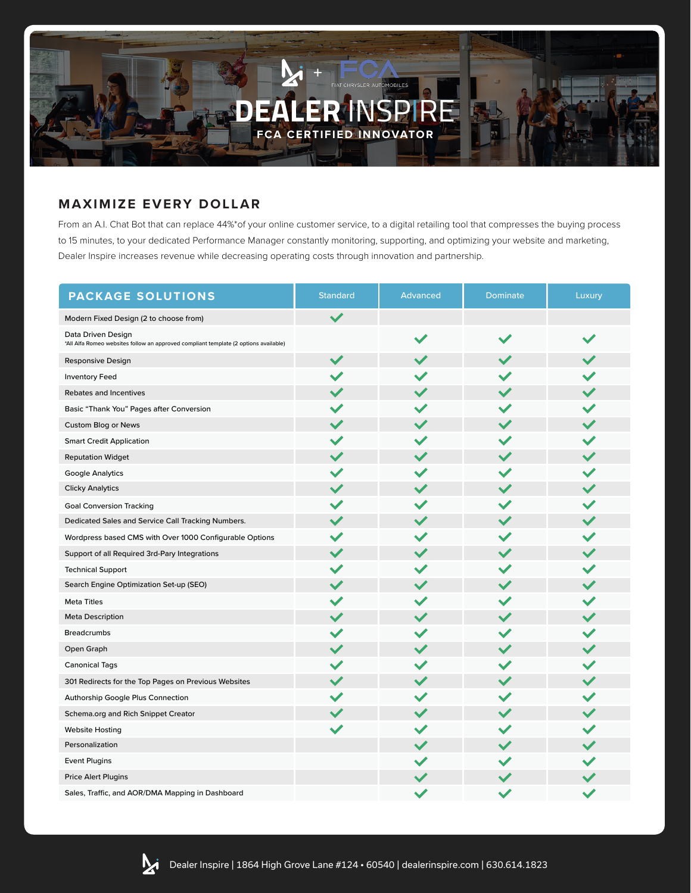

## **MAXIMIZE EVERY DOLLAR**

From an A.I. Chat Bot that can replace 44%\*of your online customer service, to a digital retailing tool that compresses the buying process to 15 minutes, to your dedicated Performance Manager constantly monitoring, supporting, and optimizing your website and marketing, Dealer Inspire increases revenue while decreasing operating costs through innovation and partnership.

| <b>PACKAGE SOLUTIONS</b>                                                                                   | <b>Standard</b> | Advanced             | <b>Dominate</b>      | Luxury               |
|------------------------------------------------------------------------------------------------------------|-----------------|----------------------|----------------------|----------------------|
| Modern Fixed Design (2 to choose from)                                                                     | $\checkmark$    |                      |                      |                      |
| Data Driven Design<br>*All Alfa Romeo websites follow an approved compliant template (2 options available) |                 | $\checkmark$         |                      |                      |
| <b>Responsive Design</b>                                                                                   | $\checkmark$    | $\checkmark$         |                      | $\blacktriangledown$ |
| <b>Inventory Feed</b>                                                                                      |                 |                      |                      |                      |
| Rebates and Incentives                                                                                     |                 | $\checkmark$         |                      |                      |
| Basic "Thank You" Pages after Conversion                                                                   |                 | $\checkmark$         |                      |                      |
| <b>Custom Blog or News</b>                                                                                 | $\checkmark$    | $\checkmark$         | $\checkmark$         | $\checkmark$         |
| <b>Smart Credit Application</b>                                                                            |                 | $\checkmark$         |                      |                      |
| <b>Reputation Widget</b>                                                                                   | $\checkmark$    | $\checkmark$         | $\checkmark$         | $\checkmark$         |
| <b>Google Analytics</b>                                                                                    |                 |                      |                      | $\checkmark$         |
| <b>Clicky Analytics</b>                                                                                    |                 | $\checkmark$         |                      |                      |
| <b>Goal Conversion Tracking</b>                                                                            |                 | $\checkmark$         |                      |                      |
| Dedicated Sales and Service Call Tracking Numbers.                                                         | $\checkmark$    | $\checkmark$         | $\checkmark$         | $\checkmark$         |
| Wordpress based CMS with Over 1000 Configurable Options                                                    |                 | $\blacktriangledown$ | ✔                    |                      |
| Support of all Required 3rd-Pary Integrations                                                              | $\checkmark$    | $\checkmark$         | ✔                    | $\checkmark$         |
| <b>Technical Support</b>                                                                                   |                 | $\checkmark$         |                      | $\checkmark$         |
| Search Engine Optimization Set-up (SEO)                                                                    | $\checkmark$    | $\checkmark$         | $\checkmark$         | $\checkmark$         |
| <b>Meta Titles</b>                                                                                         |                 | $\blacktriangledown$ |                      |                      |
| <b>Meta Description</b>                                                                                    |                 | $\checkmark$         |                      | $\checkmark$         |
| <b>Breadcrumbs</b>                                                                                         |                 | $\checkmark$         | ◢                    |                      |
| Open Graph                                                                                                 |                 | $\checkmark$         |                      |                      |
| <b>Canonical Tags</b>                                                                                      |                 | $\checkmark$         |                      |                      |
| 301 Redirects for the Top Pages on Previous Websites                                                       |                 | $\checkmark$         | $\blacktriangledown$ | $\checkmark$         |
| Authorship Google Plus Connection                                                                          |                 |                      |                      |                      |
| Schema.org and Rich Snippet Creator                                                                        |                 | $\checkmark$         | $\checkmark$         |                      |
| <b>Website Hosting</b>                                                                                     | $\checkmark$    | $\checkmark$         | ✔                    | $\blacktriangledown$ |
| Personalization                                                                                            |                 |                      |                      |                      |
| <b>Event Plugins</b>                                                                                       |                 |                      |                      |                      |
| <b>Price Alert Plugins</b>                                                                                 |                 |                      |                      |                      |
| Sales, Traffic, and AOR/DMA Mapping in Dashboard                                                           |                 |                      |                      | $\checkmark$         |

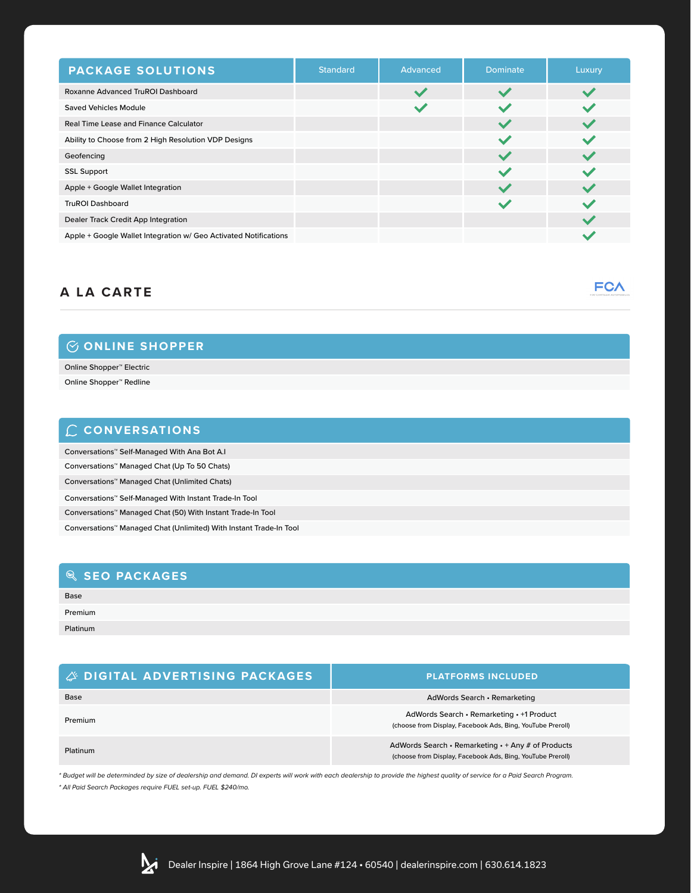| <b>PACKAGE SOLUTIONS</b>                                         | <b>Standard</b> | Advanced | <b>Dominate</b> | Luxury |
|------------------------------------------------------------------|-----------------|----------|-----------------|--------|
| Roxanne Advanced TruROI Dashboard                                |                 |          |                 |        |
| <b>Saved Vehicles Module</b>                                     |                 |          |                 |        |
| Real Time Lease and Finance Calculator                           |                 |          |                 |        |
| Ability to Choose from 2 High Resolution VDP Designs             |                 |          |                 |        |
| Geofencing                                                       |                 |          |                 |        |
| <b>SSL Support</b>                                               |                 |          |                 |        |
| Apple + Google Wallet Integration                                |                 |          |                 |        |
| <b>TruROI Dashboard</b>                                          |                 |          |                 |        |
| Dealer Track Credit App Integration                              |                 |          |                 |        |
| Apple + Google Wallet Integration w/ Geo Activated Notifications |                 |          |                 |        |

**FCA** 

# **A LA CARTE**

### **ONLINE SHOPPER**

Online Shopper™ Electric

Online Shopper™ Redline

| C CONVERSATIONS                                                         |  |
|-------------------------------------------------------------------------|--|
| Conversations™ Self-Managed With Ana Bot A.I                            |  |
| Conversations <sup>™</sup> Managed Chat (Up To 50 Chats)                |  |
| Conversations <sup>™</sup> Managed Chat (Unlimited Chats)               |  |
| Conversations™ Self-Managed With Instant Trade-In Tool                  |  |
| Conversations <sup>™</sup> Managed Chat (50) With Instant Trade-In Tool |  |
| Conversations™ Managed Chat (Unlimited) With Instant Trade-In Tool      |  |
|                                                                         |  |

### $\mathbb{R}$  SEO PACKAGES

### Base Platinum Premium

| <b>A DIGITAL ADVERTISING PACKAGES</b> | <b>PLATFORMS INCLUDED</b>                                                                                        |
|---------------------------------------|------------------------------------------------------------------------------------------------------------------|
| <b>Base</b>                           | AdWords Search • Remarketing                                                                                     |
| Premium                               | AdWords Search • Remarketing • +1 Product<br>(choose from Display, Facebook Ads, Bing, YouTube Preroll)          |
| <b>Platinum</b>                       | AdWords Search • Remarketing • + Any # of Products<br>(choose from Display, Facebook Ads, Bing, YouTube Preroll) |

*\* Budget will be determinded by size of dealership and demand. DI experts will work with each dealership to provide the highest quality of service for a Paid Search Program. \* All Paid Search Packages require FUEL set-up. FUEL \$240/mo.*